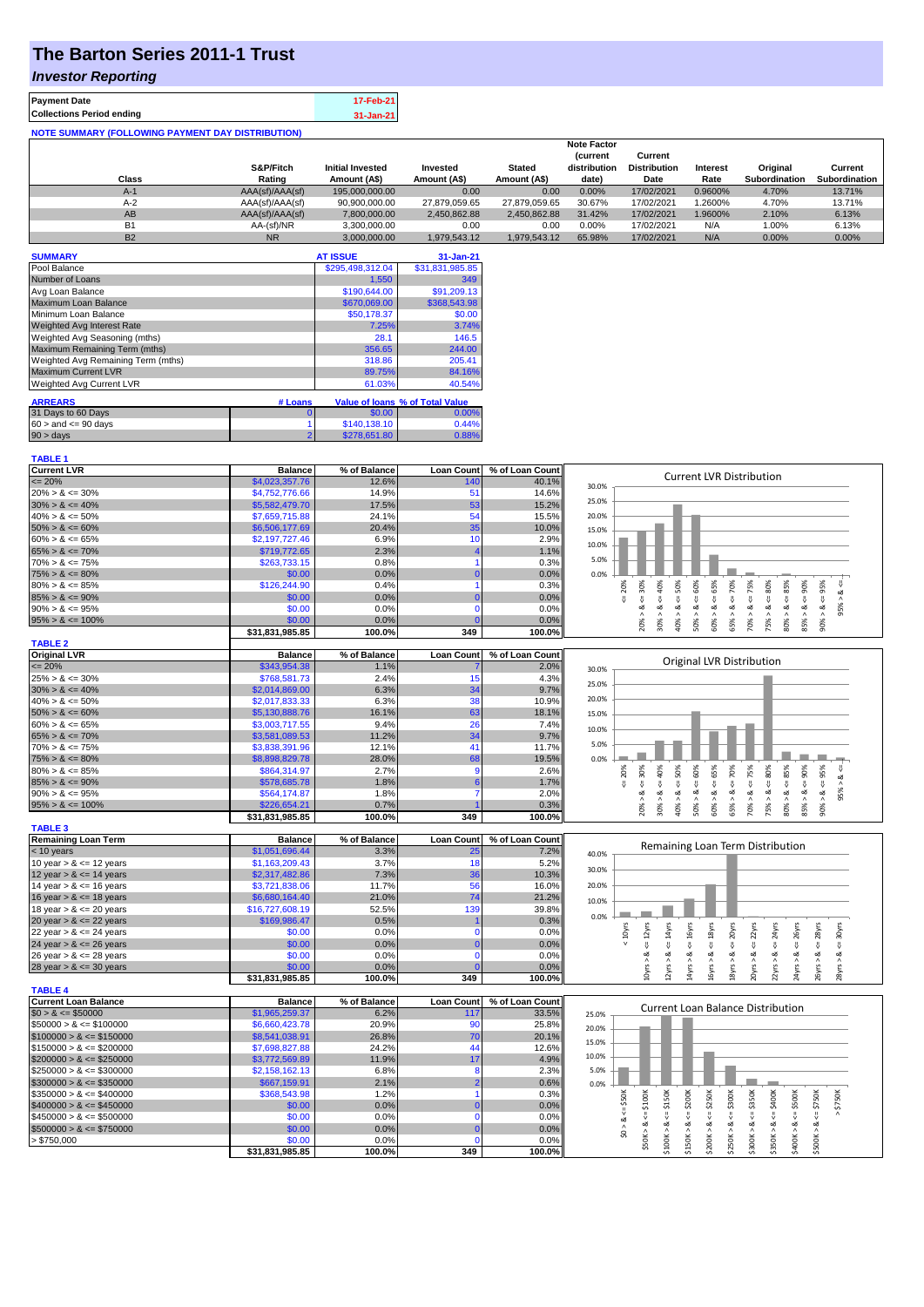# **The Barton Series 2011-1 Trust**

### *Investor Reporting*

**TABLE 1**

| <b>Payment Date</b>                                      | 17-Feb-21 |
|----------------------------------------------------------|-----------|
| <b>Collections Period ending</b>                         | 31-Jan-21 |
| <b>NOTE SUMMARY (FOLLOWING PAYMENT DAY DISTRIBUTION)</b> |           |

|           |                 |                         |               |               | <b>Note Factor</b> |                     |                 |                      |               |
|-----------|-----------------|-------------------------|---------------|---------------|--------------------|---------------------|-----------------|----------------------|---------------|
|           |                 |                         |               |               | <b>Current</b>     | Current             |                 |                      |               |
|           | S&P/Fitch       | <b>Initial Invested</b> | Invested      | <b>Stated</b> | distribution       | <b>Distribution</b> | <b>Interest</b> | Original             | Current       |
| Class     | Rating          | Amount (A\$)            | Amount (A\$)  | Amount (A\$)  | date)              | Date                | Rate            | <b>Subordination</b> | Subordination |
| $A-1$     | AAA(sf)/AAA(sf) | 195,000,000.00          | 0.00          | 0.00          | 0.00%              | 17/02/2021          | 0.9600%         | 4.70%                | 13.71%        |
| $A-2$     | AAA(sf)/AAA(sf) | 90,900,000.00           | 27.879.059.65 | 27.879.059.65 | 30.67%             | 17/02/2021          | .2600%          | 4.70%                | 13.71%        |
| AB        | AAA(sf)/AAA(sf) | 7.800.000.00            | 2.450.862.88  | 2.450.862.88  | 31.42%             | 17/02/2021          | .9600%          | 2.10%                | 6.13%         |
| <b>B1</b> | AA-(sf)/NR      | 3.300.000.00            | 0.00          | 0.00          | 0.00%              | 17/02/2021          | N/A             | 1.00%                | 6.13%         |
| <b>B2</b> | <b>NR</b>       | 3.000.000.00            | 1.979.543.12  | 1.979.543.12  | 65.98%             | 17/02/2021          | N/A             | 0.00%                | 0.00%         |

| <b>SUMMARY</b>                     |                | <b>AT ISSUE</b>  | 31-Jan-21                       |
|------------------------------------|----------------|------------------|---------------------------------|
| Pool Balance                       |                | \$295,498,312.04 | \$31,831,985.85                 |
| Number of Loans                    |                | 1,550            | 349                             |
| Avg Loan Balance                   |                | \$190,644.00     | \$91,209.13                     |
| Maximum Loan Balance               |                | \$670,069.00     | \$368,543.98                    |
| Minimum Loan Balance               |                | \$50,178.37      | \$0.00                          |
| <b>Weighted Avg Interest Rate</b>  |                | 7.25%            | 3.74%                           |
| Weighted Avg Seasoning (mths)      |                | 28.1             | 146.5                           |
| Maximum Remaining Term (mths)      |                | 356.65           | 244.00                          |
| Weighted Avg Remaining Term (mths) |                | 318.86           | 205.41                          |
| <b>Maximum Current LVR</b>         |                | 89.75%           | 84.16%                          |
| <b>Weighted Avg Current LVR</b>    |                | 61.03%           | 40.54%                          |
| <b>ARREARS</b>                     | # Loans        |                  | Value of Ioans % of Total Value |
| 31 Days to 60 Days                 | O              | \$0.00           | 0.00%                           |
| $60 >$ and $\leq 90$ days          |                | \$140,138.10     | 0.44%                           |
| $90 > \text{days}$                 | $\overline{2}$ | \$278,651.80     | 0.88%                           |

| <b>Current LVR</b>          | <b>Balance</b>  | % of Balance | <b>Loan Count</b> | % of Loan Count | <b>Current LVR Distribution</b>                                                                                                                                                                                      |
|-----------------------------|-----------------|--------------|-------------------|-----------------|----------------------------------------------------------------------------------------------------------------------------------------------------------------------------------------------------------------------|
| $= 20%$                     | \$4,023,357.76  | 12.6%        | 140               | 40.1%           | 30.0%                                                                                                                                                                                                                |
| $20\% > 8 \le 30\%$         | \$4,752,776.66  | 14.9%        | 51                | 14.6%           | 25.0%                                                                                                                                                                                                                |
| $30\% > 8 \le 40\%$         | \$5,582,479.70  | 17.5%        | 53                | 15.2%           |                                                                                                                                                                                                                      |
| $40\% > 8 \le 50\%$         | \$7,659,715.88  | 24.1%        | 54                | 15.5%           | 20.0%                                                                                                                                                                                                                |
| $50\% > 8 \le 60\%$         | \$6,506,177.69  | 20.4%        | 35                | 10.0%           | 15.0%                                                                                                                                                                                                                |
| $60\% > 8 \le 65\%$         | \$2,197,727.46  | 6.9%         | 10                | 2.9%            | 10.0%                                                                                                                                                                                                                |
| $65\% > 8 \le 70\%$         | \$719,772.65    | 2.3%         |                   | 1.1%            |                                                                                                                                                                                                                      |
| $70\% > 8 \le 75\%$         | \$263,733.15    | 0.8%         |                   | 0.3%            | 5.0%                                                                                                                                                                                                                 |
| $75\% > 8 \le 80\%$         | \$0.00          | 0.0%         | $\Omega$          | 0.0%            | 0.0%                                                                                                                                                                                                                 |
| $80\% > 8 \le 85\%$         | \$126,244.90    | 0.4%         |                   | 0.3%            | 70%<br>95%<br>20%                                                                                                                                                                                                    |
| $85\% > 8 \le 90\%$         | \$0.00          | 0.0%         |                   | 0.0%            | $<=60%$<br>$4 = 50\%$<br>$4 = 65\%$<br>$4 - 40\%$<br>$8 - 75%$<br>$\leq 80\%$<br>$4 = 30\%$<br>ઌ<br>V<br>$\stackrel{\scriptscriptstyle{  }}{\mathsf{v}}$                                                             |
| $90\% > 8 \le 95\%$         | \$0.00          | 0.0%         | $\Omega$          | 0.0%            | 95%<br>ø<br>ø<br>ಷ<br>ಷ                                                                                                                                                                                              |
| $95\% > 8 \le 100\%$        | \$0.00          | 0.0%         |                   | 0.0%            | $80\% > 8 <= 85\%$<br>$85\% > 8 <= 90\%$<br>75% > 8.<br>$90\% > 8.$<br>30% ><br>40% ><br>50% ><br>60% ><br>65% ><br>70% ><br>20%                                                                                     |
|                             | \$31,831,985.85 | 100.0%       | 349               | 100.0%          |                                                                                                                                                                                                                      |
| <b>TABLE 2</b>              |                 |              |                   |                 |                                                                                                                                                                                                                      |
| <b>Original LVR</b>         | <b>Balance</b>  | % of Balance | <b>Loan Count</b> | % of Loan Count |                                                                                                                                                                                                                      |
| $= 20%$                     | \$343,954.38    | 1.1%         |                   | 2.0%            | Original LVR Distribution<br>30.0%                                                                                                                                                                                   |
| $25\% > 8 \le 30\%$         | \$768,581.73    | 2.4%         | 15                | 4.3%            |                                                                                                                                                                                                                      |
| $30\% > 8 \le 40\%$         | \$2,014,869.00  | 6.3%         | 34                | 9.7%            | 25.0%                                                                                                                                                                                                                |
| $40\% > 8 \le 50\%$         | \$2,017,833.33  | 6.3%         | 38                | 10.9%           | 20.0%                                                                                                                                                                                                                |
| $50\% > 8 \le 60\%$         | \$5,130,888.76  | 16.1%        | 63                | 18.1%           | 15.0%                                                                                                                                                                                                                |
| $60\% > 8 \le 65\%$         | \$3,003,717.55  | 9.4%         | 26                | 7.4%            |                                                                                                                                                                                                                      |
| $65\% > 8 \le 70\%$         | \$3,581,089.53  | 11.2%        | 34                | 9.7%            | 10.0%                                                                                                                                                                                                                |
| $70\% > 8 \le 75\%$         | \$3,838,391.96  | 12.1%        | 41                | 11.7%           | 5.0%                                                                                                                                                                                                                 |
| $75\% > 8 \le 80\%$         | \$8,898,829.78  | 28.0%        | 68                | 19.5%           | 0.0%                                                                                                                                                                                                                 |
| $80\% > 8 \le 85\%$         | \$864,314.97    | 2.7%         | 9                 | 2.6%            | 20%<br>$\&$ <=                                                                                                                                                                                                       |
| $85\% > 8 \le 90\%$         | \$578,685.78    | 1.8%         |                   | 1.7%            | $4 = 30\%$<br>$4 = 70\%$                                                                                                                                                                                             |
| $90\% > 8 \le 95\%$         | \$564,174.87    | 1.8%         |                   | 2.0%            | $8 - 60%$<br>$<=65\%$<br>$8 < = 75\%$<br>$8 - 80%$<br>$8 - 40%$<br>$8x = 50%$<br>95% ><br>ಷ                                                                                                                          |
| $95\% > 8 \le 100\%$        | \$226,654.21    | 0.7%         |                   | 0.3%            | $80\% > 8 <= 85\%$<br>$85\% > 8 <= 90\%$<br>$90\% > 8 <= 95\%$<br>30% ><br>50% ><br>60% ><br>Λ<br>70% ><br>75% ><br>40% >                                                                                            |
|                             | \$31,831,985.85 | 100.0%       | 349               | 100.0%          | 20%<br>65%                                                                                                                                                                                                           |
| <b>TABLE 3</b>              |                 |              |                   |                 |                                                                                                                                                                                                                      |
| <b>Remaining Loan Term</b>  | <b>Balance</b>  | % of Balance | <b>Loan Count</b> | % of Loan Count |                                                                                                                                                                                                                      |
| < 10 years                  | \$1,051,696.44  | 3.3%         | 25                | 7.2%            | Remaining Loan Term Distribution<br>40.0%                                                                                                                                                                            |
| 10 year $> 8 \le 12$ years  | \$1,163,209.43  | 3.7%         | 18                | 5.2%            |                                                                                                                                                                                                                      |
| 12 year $> 8 \le 14$ years  | \$2,317,482.86  | 7.3%         | 36                | 10.3%           | 30.0%                                                                                                                                                                                                                |
| 14 year $> 8 \le 16$ years  | \$3,721,838.06  | 11.7%        | 56                | 16.0%           | 20.0%                                                                                                                                                                                                                |
| 16 year $> 8 \le 18$ years  | \$6,680,164.40  | 21.0%        | 74                | 21.2%           | 10.0%                                                                                                                                                                                                                |
| 18 year $> 8 \le 20$ years  | \$16,727,608.19 | 52.5%        | 139               | 39.8%           |                                                                                                                                                                                                                      |
| 20 year $> 8 \le 22$ years  | \$169,986.47    | 0.5%         |                   | 0.3%            | 0.0%                                                                                                                                                                                                                 |
| 22 year $> 8 \le 24$ years  | \$0.00          | 0.0%         | $\Omega$          | 0.0%            | $< 10$ yrs                                                                                                                                                                                                           |
| 24 year $> 8 \le 26$ years  | \$0.00          | 0.0%         |                   | 0.0%            | $\le$ = 14 $\gamma$ rs<br>$\leq 18$ yrs<br>$\leq$ 16yrs<br>$\leq 20$ yrs<br>$\epsilon$ = 22 $\gamma$ rs<br>$\leq$ 24yrs<br>$\leq$ = 28 $\gamma$ rs<br>$4 = 30$ yrs<br>$\epsilon$ = 12 $\gamma$ rs<br>$\leq$ $26$ yrs |
| 26 year $> 8 \le 28$ years  | \$0.00          | 0.0%         | $\mathbf{0}$      | 0.0%            |                                                                                                                                                                                                                      |
| 28 year $> 8 \le 30$ years  | \$0.00          | 0.0%         |                   | 0.0%            | $12\gamma$ rs > & -<br>20yrs > 8<br>$22\gamma$ rs > & -<br>24yrs > 8<br>10yrs > 8<br>14yrs > 8<br>16yrs > 8<br>18yrs > 8<br>26yrs > 8<br>28yrs > 8                                                                   |
|                             | \$31,831,985.85 | 100.0%       | 349               | 100.0%          |                                                                                                                                                                                                                      |
| <b>TABLE 4</b>              |                 |              |                   |                 |                                                                                                                                                                                                                      |
| <b>Current Loan Balance</b> | <b>Balance</b>  | % of Balance | <b>Loan Count</b> | % of Loan Count |                                                                                                                                                                                                                      |
| $$0 > 8 \leq $50000$        | \$1,965,259.37  | 6.2%         | 117               | 33.5%           | <b>Current Loan Balance Distribution</b><br>25.0%                                                                                                                                                                    |
| $$50000 > 8 \le $100000$    | \$6,660,423.78  | 20.9%        | 90                | 25.8%           |                                                                                                                                                                                                                      |
| $$100000 > 8 \leq $150000$  | \$8,541,038.91  | 26.8%        | 70                | 20.1%           | 20.0%                                                                                                                                                                                                                |
| $$150000 > 8 \leq $200000$  | \$7,698,827.88  | 24.2%        | 44                | 12.6%           | 15.0%                                                                                                                                                                                                                |
| $$200000 > 8 \leq $250000$  | \$3,772,569.89  | 11.9%        | 17                | 4.9%            | 10.0%                                                                                                                                                                                                                |
| $$250000 > 8 \leq $300000$  | \$2,158,162.13  | 6.8%         | 8                 | 2.3%            | 5.0%                                                                                                                                                                                                                 |
| $$300000 > 8 \leq $350000$  | \$667,159.91    | 2.1%         |                   | 0.6%            | 0.0%                                                                                                                                                                                                                 |
| $$350000 > 8 \leq $400000$  | \$368,543.98    | 1.2%         | 1                 | 0.3%            |                                                                                                                                                                                                                      |
| $$400000 > 8 \leq $450000$  | \$0.00          | 0.0%         |                   | 0.0%            | \$150K<br>\$200K<br>\$250K<br>\$350K<br>\$50K<br>$\leq$ \$500K<br>$4 = $750K$<br>$>$ \$750K                                                                                                                          |
| $$450000 > 8 \leq $500000$  | \$0.00          | 0.0%         | $\Omega$          | 0.0%            | 쁑<br>$\overset{\shortparallel}{\vee}$<br>V                                                                                                                                                                           |
| $$500000 > 8 \leq $750000$  | \$0.00          | 0.0%         |                   | 0.0%            | \$0 > 8<br>ವ                                                                                                                                                                                                         |
| > \$750,000                 | \$0.00          | 0.0%         | $\mathbf 0$       | 0.0%            | $$250K > 8 \Leftarrow $300K$<br>$$50K > 8 <= $100K$<br>$$350K > 8 <= $400K$<br>$$100K > 8 \le$<br>$$300K > 8 \le$<br>\$200K > 8<br>\$400K > 8<br>\$500K > 8<br>\$150K>                                               |
|                             | \$31,831,985.85 | 100.0%       | 349               | 100.0%          |                                                                                                                                                                                                                      |
|                             |                 |              |                   |                 |                                                                                                                                                                                                                      |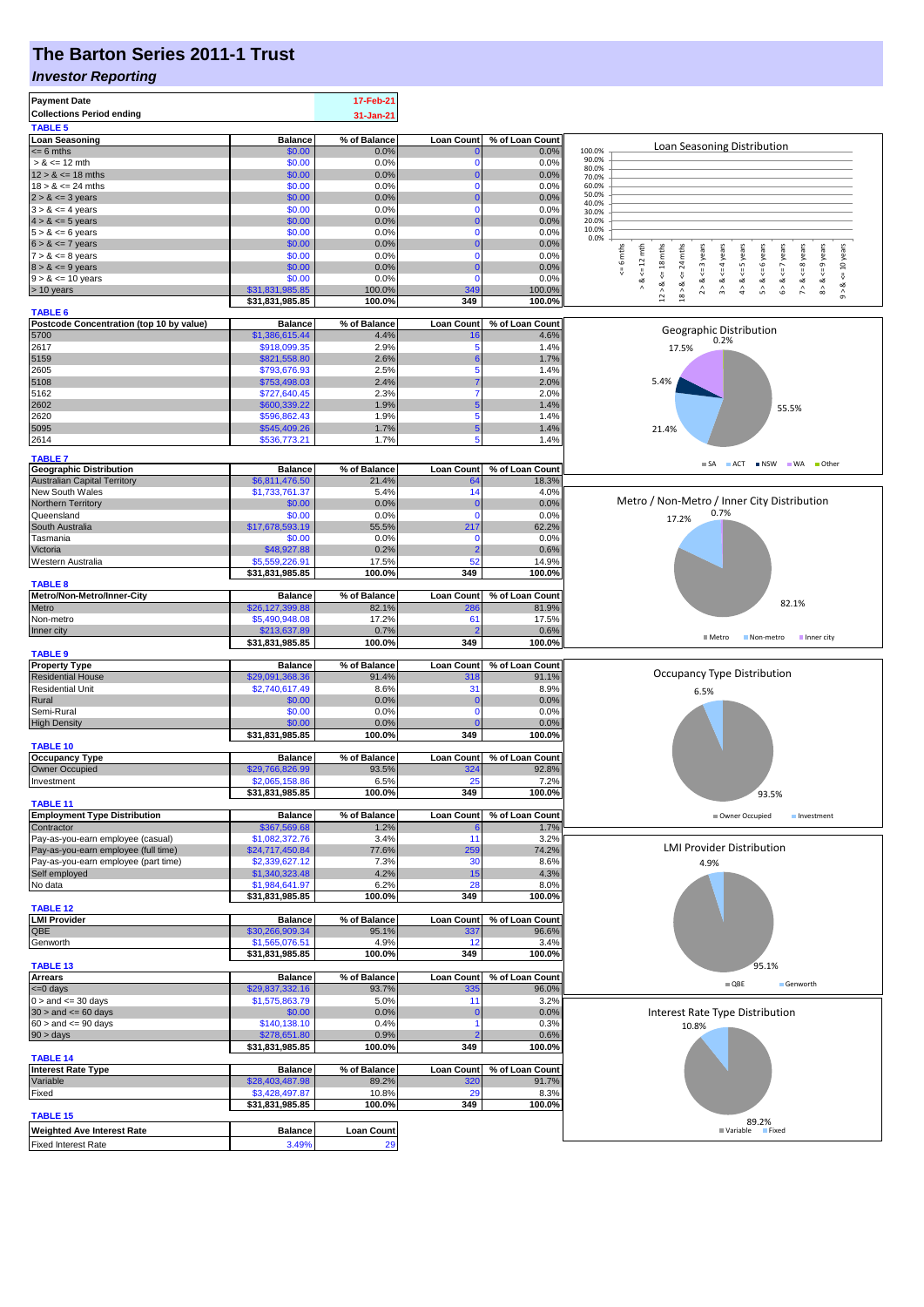## **The Barton Series 2011-1 Trust**

#### *Investor Reporting*

| <b>Payment Date</b>                                                       |                                    | 17-Feb-21             |                            |                          |                                                                                                                                                                                                            |  |  |
|---------------------------------------------------------------------------|------------------------------------|-----------------------|----------------------------|--------------------------|------------------------------------------------------------------------------------------------------------------------------------------------------------------------------------------------------------|--|--|
| <b>Collections Period ending</b>                                          |                                    | 31-Jan-21             |                            |                          |                                                                                                                                                                                                            |  |  |
| <b>TABLE 5</b>                                                            |                                    |                       |                            |                          |                                                                                                                                                                                                            |  |  |
| <b>Loan Seasoning</b>                                                     | <b>Balance</b><br>\$0.00           | % of Balance          | <b>Loan Count</b>          | % of Loan Count          | Loan Seasoning Distribution<br>100.0%                                                                                                                                                                      |  |  |
| $= 6$ mths<br>$> 8 \le 12$ mth                                            | \$0.00                             | 0.0%<br>0.0%          | 0                          | 0.0%<br>0.0%             | 90.0%                                                                                                                                                                                                      |  |  |
| $12 > 8 \le 18$ mths                                                      | \$0.00                             | 0.0%                  | $\overline{0}$             | 0.0%                     | 80.0%<br>70.0%                                                                                                                                                                                             |  |  |
| $18 > 8 \le 24$ mths                                                      | \$0.00                             | 0.0%                  | 0                          | 0.0%                     | 60.0%                                                                                                                                                                                                      |  |  |
| $2 > 8 \le 3$ years                                                       | \$0.00                             | 0.0%                  | 0                          | 0.0%                     | 50.0%<br>40.0%                                                                                                                                                                                             |  |  |
| $3 > 8 \le 4$ years                                                       | \$0.00                             | 0.0%                  | 0                          | 0.0%                     | 30.0%                                                                                                                                                                                                      |  |  |
| $4 > 8 \le 5$ years<br>$5 > 8 \le 6$ years                                | \$0.00<br>\$0.00                   | 0.0%<br>0.0%          | 0<br>0                     | 0.0%<br>0.0%             | 20.0%<br>10.0%                                                                                                                                                                                             |  |  |
| $6 > 8 \le 7$ years                                                       | \$0.00                             | 0.0%                  | 0                          | 0.0%                     | 0.0%                                                                                                                                                                                                       |  |  |
| $7 > 8 \le 8$ years                                                       | \$0.00                             | 0.0%                  | 0                          | 0.0%                     | 6 mths<br>24 mths<br>$\leq$ = 3 years<br>$\le$ = 6 years<br>$6 > 8 < z < 7$ years<br>$8 > 8 < = 9$ years<br>$\le$ = 10 years<br>$\leq 12$ mth<br>$\leq$ = 4 years<br>$4 > 8 < = 5$ years<br>$\leq$ 8 years |  |  |
| $8 > 8 \le 9$ years                                                       | \$0.00                             | 0.0%                  | $\overline{0}$             | 0.0%                     |                                                                                                                                                                                                            |  |  |
| $9 > 8 \le 10$ years                                                      | \$0.00                             | 0.0%                  | $\Omega$                   | 0.0%                     | v<br>2 > 8.<br>5 > 8<br>$\dot{\infty}$<br>∝<br>∞<br>∞<br>۸                                                                                                                                                 |  |  |
| > 10 years                                                                | \$31,831,985.85<br>\$31,831,985.85 | 100.0%                | 349                        | 100.0%                   | $12 > 8 < 18$ mths<br>$9 - 8$<br>$\frac{1}{2}$<br>$\frac{1}{2}$<br>$18 >$                                                                                                                                  |  |  |
| <b>TABLE 6</b>                                                            |                                    | 100.0%                | 349                        | 100.0%                   |                                                                                                                                                                                                            |  |  |
| Postcode Concentration (top 10 by value)                                  | <b>Balance</b>                     | % of Balance          | <b>Loan Count</b>          | % of Loan Count          |                                                                                                                                                                                                            |  |  |
| 5700                                                                      | \$1,386,615.44                     | 4.4%                  | 16                         | 4.6%                     | Geographic Distribution<br>0.2%                                                                                                                                                                            |  |  |
| 2617                                                                      | \$918,099.35                       | 2.9%                  | 5                          | 1.4%                     | 17.5%                                                                                                                                                                                                      |  |  |
| 5159                                                                      | \$821,558.80                       | 2.6%                  | 6                          | 1.7%                     |                                                                                                                                                                                                            |  |  |
| 2605<br>5108                                                              | \$793,676.93<br>\$753,498.03       | 2.5%<br>2.4%          | 5                          | 1.4%<br>2.0%             | 5.4%                                                                                                                                                                                                       |  |  |
| 5162                                                                      | \$727,640.45                       | 2.3%                  | 7                          | 2.0%                     |                                                                                                                                                                                                            |  |  |
| 2602                                                                      | \$600,339.22                       | 1.9%                  | 5                          | 1.4%                     | 55.5%                                                                                                                                                                                                      |  |  |
| 2620                                                                      | \$596,862.43                       | 1.9%                  | 5                          | 1.4%                     |                                                                                                                                                                                                            |  |  |
| 5095                                                                      | \$545,409.26                       | 1.7%                  | 5                          | 1.4%                     | 21.4%                                                                                                                                                                                                      |  |  |
| 2614                                                                      | \$536,773.21                       | 1.7%                  | 5                          | 1.4%                     |                                                                                                                                                                                                            |  |  |
| <b>TABLE 7</b>                                                            |                                    |                       |                            |                          |                                                                                                                                                                                                            |  |  |
| <b>Geographic Distribution</b>                                            | <b>Balance</b>                     | % of Balance          | <b>Loan Count</b>          | % of Loan Count          | ACT NSW WA Other<br><b>SA</b>                                                                                                                                                                              |  |  |
| Australian Capital Territory                                              | \$6,811,476.50                     | 21.4%                 | 64                         | 18.3%                    |                                                                                                                                                                                                            |  |  |
| New South Wales                                                           | \$1,733,761.37                     | 5.4%                  | 14                         | 4.0%                     | Metro / Non-Metro / Inner City Distribution                                                                                                                                                                |  |  |
| Northern Territory<br>Queensland                                          | \$0.00<br>\$0.00                   | 0.0%<br>0.0%          | $\mathbf 0$<br>$\mathbf 0$ | 0.0%<br>0.0%             | 0.7%                                                                                                                                                                                                       |  |  |
| South Australia                                                           | \$17,678,593.19                    | 55.5%                 | 217                        | 62.2%                    | 17.2%                                                                                                                                                                                                      |  |  |
| Tasmania                                                                  | \$0.00                             | 0.0%                  | $\Omega$                   | 0.0%                     |                                                                                                                                                                                                            |  |  |
| Victoria                                                                  | \$48,927.88                        | 0.2%                  |                            | 0.6%                     |                                                                                                                                                                                                            |  |  |
| Western Australia                                                         | \$5,559,226.91                     | 17.5%                 | 52                         | 14.9%                    |                                                                                                                                                                                                            |  |  |
|                                                                           | \$31,831,985.85                    | 100.0%                | 349                        | 100.0%                   |                                                                                                                                                                                                            |  |  |
| <b>TABLE 8</b>                                                            |                                    |                       |                            |                          |                                                                                                                                                                                                            |  |  |
| Metro/Non-Metro/Inner-City<br>Metro                                       | <b>Balance</b><br>\$26,127,399.88  | % of Balance<br>82.1% | <b>Loan Count</b><br>286   | % of Loan Count<br>81.9% | 82.1%                                                                                                                                                                                                      |  |  |
| Non-metro                                                                 | \$5,490,948.08                     | 17.2%                 | 61                         | 17.5%                    |                                                                                                                                                                                                            |  |  |
| Inner city                                                                | \$213,637.89                       | 0.7%                  |                            | 0.6%                     |                                                                                                                                                                                                            |  |  |
|                                                                           | \$31,831,985.85                    | 100.0%                | 349                        | 100.0%                   | $M$ Metro<br>Non-metro<br><b>■ Inner city</b>                                                                                                                                                              |  |  |
| <b>TABLE 9</b>                                                            |                                    |                       |                            |                          |                                                                                                                                                                                                            |  |  |
| <b>Property Type</b>                                                      | <b>Balance</b>                     | % of Balance          | <b>Loan Count</b>          | % of Loan Count          | Occupancy Type Distribution                                                                                                                                                                                |  |  |
| <b>Residential House</b><br><b>Residential Unit</b>                       | \$29,091,368.36<br>\$2,740,617.49  | 91.4%<br>8.6%         | 318<br>31                  | 91.1%<br>8.9%            |                                                                                                                                                                                                            |  |  |
| Rural                                                                     | \$0.00                             | 0.0%                  | $\bf{0}$                   | 0.0%                     | 6.5%                                                                                                                                                                                                       |  |  |
| Semi-Rural                                                                | \$0.00                             | 0.0%                  | $\Omega$                   | 0.0%                     |                                                                                                                                                                                                            |  |  |
| <b>High Density</b>                                                       | \$0.00                             | 0.0%                  |                            | 0.0%                     |                                                                                                                                                                                                            |  |  |
|                                                                           | \$31,831,985.85                    | 100.0%                | 349                        | 100.0%                   |                                                                                                                                                                                                            |  |  |
| <b>TABLE 10</b>                                                           |                                    |                       |                            |                          |                                                                                                                                                                                                            |  |  |
| <b>Occupancy Type</b><br>Owner Occupied                                   | <b>Balance</b><br>\$29,766,826.99  | % of Balance<br>93.5% | <b>Loan Count</b><br>324   | % of Loan Count<br>92.8% |                                                                                                                                                                                                            |  |  |
| Investment                                                                | \$2,065,158.86                     | 6.5%                  | 25                         | 7.2%                     |                                                                                                                                                                                                            |  |  |
|                                                                           | \$31,831,985.85                    | 100.0%                | 349                        | 100.0%                   | 93.5%                                                                                                                                                                                                      |  |  |
| <b>TABLE 11</b>                                                           |                                    |                       |                            |                          |                                                                                                                                                                                                            |  |  |
| <b>Employment Type Distribution</b>                                       | <b>Balance</b>                     | % of Balance          | <b>Loan Count</b>          | % of Loan Count          | Owner Occupied<br>Investment                                                                                                                                                                               |  |  |
| Contractor                                                                | \$367,569.68                       | 1.2%                  |                            | 1.7%                     |                                                                                                                                                                                                            |  |  |
| Pay-as-you-earn employee (casual)<br>Pay-as-you-earn employee (full time) | \$1,082,372.76<br>\$24,717,450.84  | 3.4%<br>77.6%         | 11<br>259                  | 3.2%<br>74.2%            | <b>LMI Provider Distribution</b>                                                                                                                                                                           |  |  |
| Pay-as-you-earn employee (part time)                                      | \$2,339,627.12                     | 7.3%                  | 30                         | 8.6%                     | 4.9%                                                                                                                                                                                                       |  |  |
| Self employed                                                             | \$1,340,323.48                     | 4.2%                  | 15                         | 4.3%                     |                                                                                                                                                                                                            |  |  |
| No data                                                                   | \$1,984,641.97                     | 6.2%                  | 28                         | 8.0%                     |                                                                                                                                                                                                            |  |  |
|                                                                           | \$31,831,985.85                    | 100.0%                | 349                        | 100.0%                   |                                                                                                                                                                                                            |  |  |
| <b>TABLE 12</b><br><b>LMI Provider</b>                                    |                                    |                       | <b>Loan Count</b>          |                          |                                                                                                                                                                                                            |  |  |
| QBE                                                                       | <b>Balance</b><br>\$30,266,909.34  | % of Balance<br>95.1% | 337                        | % of Loan Count<br>96.6% |                                                                                                                                                                                                            |  |  |
| Genworth                                                                  | \$1,565,076.51                     | 4.9%                  | 12                         | 3.4%                     |                                                                                                                                                                                                            |  |  |
|                                                                           | \$31,831,985.85                    | 100.0%                | 349                        | 100.0%                   |                                                                                                                                                                                                            |  |  |
| <b>TABLE 13</b>                                                           |                                    |                       |                            |                          | 95.1%                                                                                                                                                                                                      |  |  |
| <b>Arrears</b>                                                            | <b>Balance</b>                     | % of Balance          | <b>Loan Count</b>          | % of Loan Count          | $\blacksquare$ QBE<br>Genworth                                                                                                                                                                             |  |  |
| $\leq 0$ days                                                             | \$29,837,332.16                    | 93.7%                 | 335                        | 96.0%                    |                                                                                                                                                                                                            |  |  |
| $0 >$ and $\leq 30$ days<br>$30 >$ and $\leq 60$ days                     | \$1,575,863.79                     | 5.0%<br>0.0%          | 11<br>$\bf{0}$             | 3.2%<br>0.0%             |                                                                                                                                                                                                            |  |  |
| $60 >$ and $\leq 90$ days                                                 | \$0.00<br>\$140,138.10             | 0.4%                  | 1                          | 0.3%                     | Interest Rate Type Distribution                                                                                                                                                                            |  |  |
| 90 > days                                                                 | \$278,651.80                       | 0.9%                  |                            | 0.6%                     | 10.8%                                                                                                                                                                                                      |  |  |
|                                                                           | \$31,831,985.85                    | 100.0%                | 349                        | 100.0%                   |                                                                                                                                                                                                            |  |  |
| <b>TABLE 14</b>                                                           |                                    |                       |                            |                          |                                                                                                                                                                                                            |  |  |
| <b>Interest Rate Type</b>                                                 | <b>Balance</b>                     | % of Balance          | <b>Loan Count</b>          | % of Loan Count          |                                                                                                                                                                                                            |  |  |
| Variable<br>Fixed                                                         | \$28,403,487.98<br>\$3,428,497.87  | 89.2%<br>10.8%        | 320                        | 91.7%<br>8.3%            |                                                                                                                                                                                                            |  |  |
|                                                                           | \$31,831,985.85                    | 100.0%                | 29<br>349                  | 100.0%                   |                                                                                                                                                                                                            |  |  |
| <b>TABLE 15</b>                                                           |                                    |                       |                            |                          |                                                                                                                                                                                                            |  |  |
| <b>Weighted Ave Interest Rate</b>                                         | <b>Balance</b>                     | <b>Loan Count</b>     |                            |                          | 89.2%<br>■ Variable<br><b>Fixed</b>                                                                                                                                                                        |  |  |
| <b>Fixed Interest Rate</b>                                                | 3.49%                              | 29                    |                            |                          |                                                                                                                                                                                                            |  |  |